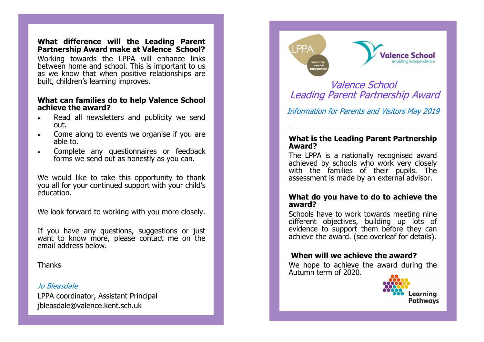### **What difference will the Leading Parent Partnership Award make at Valence School?**

Working towards the LPPA will enhance links between home and school. This is important to us as we know that when positive relationships are built, children 's learning improves.

## **What can families do to help Valence School achieve the award?**

- Read all newsletters and publicity we send out.
- Come along to events we organise if you are able to.
- Complete any questionnaires or feedback forms we send out as honestly as you can.

We would like to take this opportunity to thank you all for your continued support with your child 's education.

We look forward to working with you more closely.

If you have any questions, suggestions or just want to know more, please contact me on the email address below.

**Thanks** 

# Jo Bleasdale

LPPA coordinator, Assistant Principal jbleasdale@valence.kent.sch.uk

# **LPPA**



# Valence School Leading Parent Partnership Award

Information for Parents and Visitors May 2019

# **What is the Leading Parent Partnership Award?**

The LPPA is a nationally recognised award achieved by schools who work very closely with the families of their pupils. The assessment is made by an external advisor.

# **What do you have to do to achieve the award?**

Schools have to work towards meeting nine different objectives, building up lots of evidence to support them before they can achieve the award. (see overleaf for details).

# **When will we achieve the award?**

We hope to achieve the award during the Autumn term of 2020.